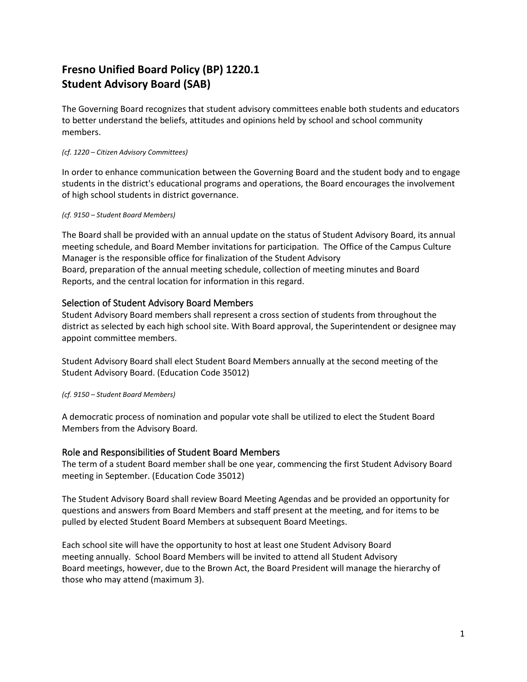# **Fresno Unified Board Policy (BP) 1220.1 Student Advisory Board (SAB)**

The Governing Board recognizes that student advisory committees enable both students and educators to better understand the beliefs, attitudes and opinions held by school and school community members.

## *(cf. 1220 – Citizen Advisory Committees)*

In order to enhance communication between the Governing Board and the student body and to engage students in the district's educational programs and operations, the Board encourages the involvement of high school students in district governance.

## *(cf. 9150 – Student Board Members)*

The Board shall be provided with an annual update on the status of Student Advisory Board, its annual meeting schedule, and Board Member invitations for participation. The Office of the Campus Culture Manager is the responsible office for finalization of the Student Advisory Board, preparation of the annual meeting schedule, collection of meeting minutes and Board Reports, and the central location for information in this regard.

## Selection of Student Advisory Board Members

Student Advisory Board members shall represent a cross section of students from throughout the district as selected by each high school site. With Board approval, the Superintendent or designee may appoint committee members.

Student Advisory Board shall elect Student Board Members annually at the second meeting of the Student Advisory Board. (Education Code 35012)

*(cf. 9150 – Student Board Members)*

A democratic process of nomination and popular vote shall be utilized to elect the Student Board Members from the Advisory Board.

## Role and Responsibilities of Student Board Members

The term of a student Board member shall be one year, commencing the first Student Advisory Board meeting in September. (Education Code 35012)

The Student Advisory Board shall review Board Meeting Agendas and be provided an opportunity for questions and answers from Board Members and staff present at the meeting, and for items to be pulled by elected Student Board Members at subsequent Board Meetings.

Each school site will have the opportunity to host at least one Student Advisory Board meeting annually. School Board Members will be invited to attend all Student Advisory Board meetings, however, due to the Brown Act, the Board President will manage the hierarchy of those who may attend (maximum 3).